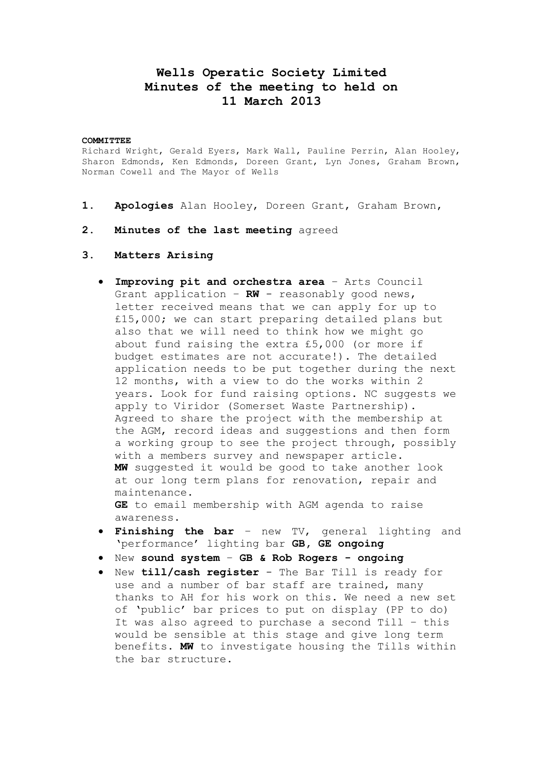# **Wells Operatic Society Limited Minutes of the meeting to held on 11 March 2013**

#### **COMMITTEE**

Richard Wright, Gerald Eyers, Mark Wall, Pauline Perrin, Alan Hooley, Sharon Edmonds, Ken Edmonds, Doreen Grant, Lyn Jones, Graham Brown, Norman Cowell and The Mayor of Wells

- **1. Apologies** Alan Hooley, Doreen Grant, Graham Brown,
- **2. Minutes of the last meeting** agreed
- **3. Matters Arising**
	- **Improving pit and orchestra area** Arts Council Grant application – **RW** - reasonably good news, letter received means that we can apply for up to £15,000; we can start preparing detailed plans but also that we will need to think how we might go about fund raising the extra £5,000 (or more if budget estimates are not accurate!). The detailed application needs to be put together during the next 12 months, with a view to do the works within 2 years. Look for fund raising options. NC suggests we apply to Viridor (Somerset Waste Partnership). Agreed to share the project with the membership at the AGM, record ideas and suggestions and then form a working group to see the project through, possibly with a members survey and newspaper article. **MW** suggested it would be good to take another look at our long term plans for renovation, repair and maintenance.

**GE** to email membership with AGM agenda to raise awareness.

- **Finishing the bar** new TV, general lighting and 'performance' lighting bar **GB, GE ongoing**
- New **sound system GB & Rob Rogers - ongoing**
- New **till/cash register**  The Bar Till is ready for use and a number of bar staff are trained, many thanks to AH for his work on this. We need a new set of 'public' bar prices to put on display (PP to do) It was also agreed to purchase a second Till – this would be sensible at this stage and give long term benefits. **MW** to investigate housing the Tills within the bar structure.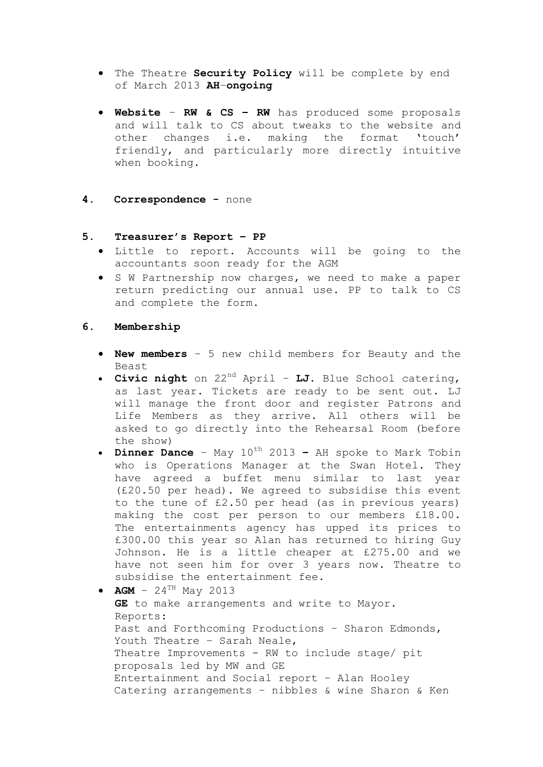- The Theatre **Security Policy** will be complete by end of March 2013 **AH**–**ongoing**
- **Website RW & CS – RW** has produced some proposals and will talk to CS about tweaks to the website and other changes i.e. making the format 'touch' friendly, and particularly more directly intuitive when booking.
- **4. Correspondence -** none

#### **5. Treasurer's Report – PP**

- Little to report. Accounts will be going to the accountants soon ready for the AGM
- S W Partnership now charges, we need to make a paper return predicting our annual use. PP to talk to CS and complete the form.

#### **6. Membership**

- **New members** 5 new child members for Beauty and the Beast
- **Civic night** on 22nd April **LJ.** Blue School catering, as last year. Tickets are ready to be sent out. LJ will manage the front door and register Patrons and Life Members as they arrive. All others will be asked to go directly into the Rehearsal Room (before the show)
- **Dinner Dance** May  $10^{th}$  2013 AH spoke to Mark Tobin who is Operations Manager at the Swan Hotel. They have agreed a buffet menu similar to last year (£20.50 per head). We agreed to subsidise this event to the tune of £2.50 per head (as in previous years) making the cost per person to our members £18.00. The entertainments agency has upped its prices to £300.00 this year so Alan has returned to hiring Guy Johnson. He is a little cheaper at £275.00 and we have not seen him for over 3 years now. Theatre to subsidise the entertainment fee.
- $AGM 24^{TH}$  May 2013 **GE** to make arrangements and write to Mayor. Reports: Past and Forthcoming Productions – Sharon Edmonds, Youth Theatre – Sarah Neale, Theatre Improvements - RW to include stage/ pit proposals led by MW and GE Entertainment and Social report – Alan Hooley Catering arrangements – nibbles & wine Sharon & Ken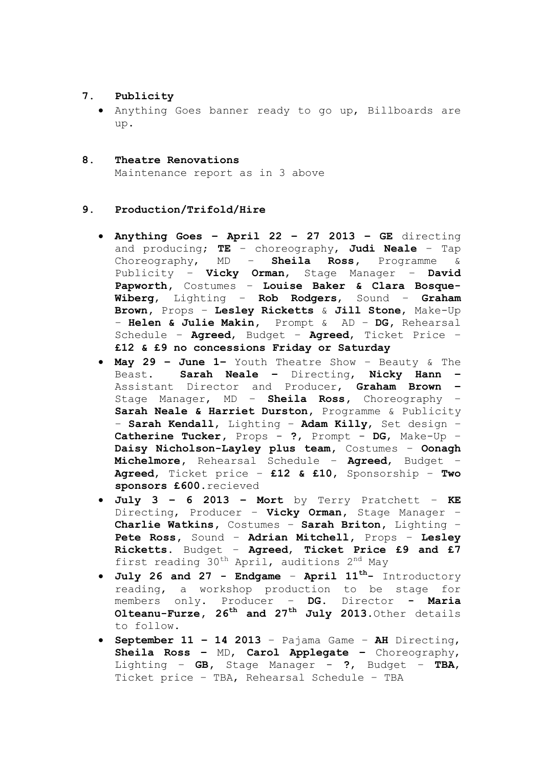## **7. Publicity**

- Anything Goes banner ready to go up, Billboards are up.
- **8. Theatre Renovations** Maintenance report as in 3 above

### **9. Production/Trifold/Hire**

- **Anything Goes – April 22 – 27 2013 – GE** directing and producing; **TE** – choreography, **Judi Neale** – Tap Choreography, MD – **Sheila Ross,** Programme & Publicity – **Vicky Orman**, Stage Manager – **David Papworth,** Costumes – **Louise Baker & Clara Bosque-Wiberg**, Lighting – **Rob Rodgers**, Sound – **Graham Brown,** Props – **Lesley Ricketts** & **Jill Stone**, Make-Up – **Helen & Julie Makin,** Prompt & AD – **DG,** Rehearsal Schedule – **Agreed**, Budget – **Agreed**, Ticket Price – **£12 & £9 no concessions Friday or Saturday**
- **May 29 – June 1–** Youth Theatre Show Beauty & The Beast. **Sarah Neale –** Directing, **Nicky Hann –** Assistant Director and Producer, **Graham Brown –** Stage Manager, MD – **Sheila Ross,** Choreography – **Sarah Neale & Harriet Durston,** Programme & Publicity – **Sarah Kendall**, Lighting – **Adam Killy**, Set design – **Catherine Tucker,** Props - **?**, Prompt - **DG**, Make-Up – **Daisy Nicholson-Layley plus team,** Costumes – **Oonagh Michelmore,** Rehearsal Schedule – **Agreed**, Budget – **Agreed**, Ticket price – **£12 & £10**, Sponsorship – **Two sponsors £600**.recieved
- **July 3 – 6 2013 – Mort** by Terry Pratchett **KE**  Directing, Producer – **Vicky Orman,** Stage Manager – **Charlie Watkins,** Costumes – **Sarah Briton,** Lighting – **Pete Ross,** Sound – **Adrian Mitchell,** Props – **Lesley Ricketts.** Budget – **Agreed**, **Ticket Price £9 and £7** first reading 30<sup>th</sup> April, auditions 2<sup>nd</sup> May
- **July 26 and 27 - Endgame April 11th-** Introductory reading, a workshop production to be stage for members only. Producer – **DG**. Director **- Maria Olteanu-Furze, 26th and 27th July 2013**.Other details to follow.
- **September 11 – 14 2013**  Pajama Game **AH** Directing, **Sheila Ross –** MD, **Carol Applegate –** Choreography, Lighting – **GB,** Stage Manager - **?**, Budget – **TBA**, Ticket price – TBA, Rehearsal Schedule – TBA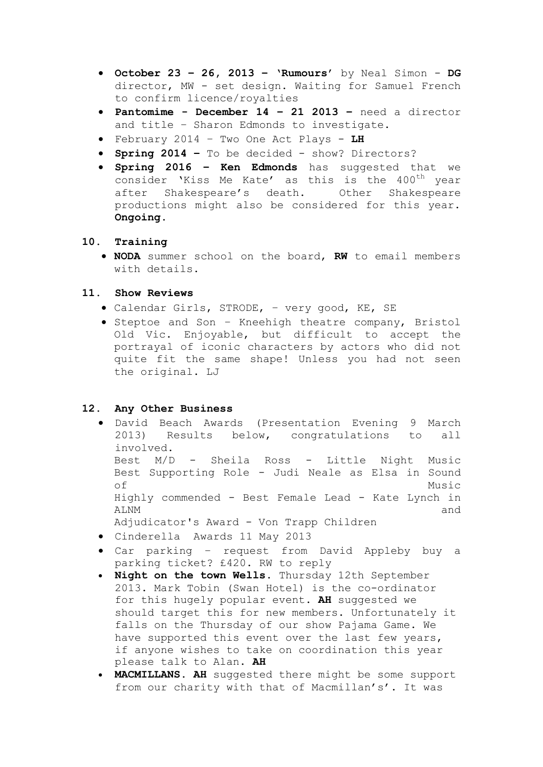- **October 23 – 26, 2013 – 'Rumours'** by Neal Simon **DG**  director, MW - set design. Waiting for Samuel French to confirm licence/royalties
- **Pantomime - December 14 – 21 2013 –** need a director and title – Sharon Edmonds to investigate.
- February 2014 Two One Act Plays **LH**
- **Spring 2014 –** To be decided show? Directors?
- **Spring 2016 – Ken Edmonds** has suggested that we consider 'Kiss Me Kate' as this is the 400<sup>th</sup> year after Shakespeare's death. Other Shakespeare productions might also be considered for this year. **Ongoing.**

### **10. Training**

 **NODA** summer school on the board, **RW** to email members with details.

### **11. Show Reviews**

- Calendar Girls, STRODE, very good, KE, SE
- Steptoe and Son Kneehigh theatre company, Bristol Old Vic. Enjoyable, but difficult to accept the portrayal of iconic characters by actors who did not quite fit the same shape! Unless you had not seen the original. LJ

### **12. Any Other Business**

- David Beach Awards (Presentation Evening 9 March 2013) Results below, congratulations to all involved. Best M/D - Sheila Ross - Little Night Music Best Supporting Role - Judi Neale as Elsa in Sound of Music Highly commended - Best Female Lead - Kate Lynch in ALNM and and and and and and and  $\alpha$ Adjudicator's Award - Von Trapp Children
- Cinderella Awards 11 May 2013
- Car parking request from David Appleby buy a parking ticket? £420. RW to reply
- **Night on the town Wells.** Thursday 12th September 2013. Mark Tobin (Swan Hotel) is the co-ordinator for this hugely popular event. **AH** suggested we should target this for new members. Unfortunately it falls on the Thursday of our show Pajama Game. We have supported this event over the last few years, if anyone wishes to take on coordination this year please talk to Alan. **AH**
- **MACMILLANS. AH** suggested there might be some support from our charity with that of Macmillan's'. It was